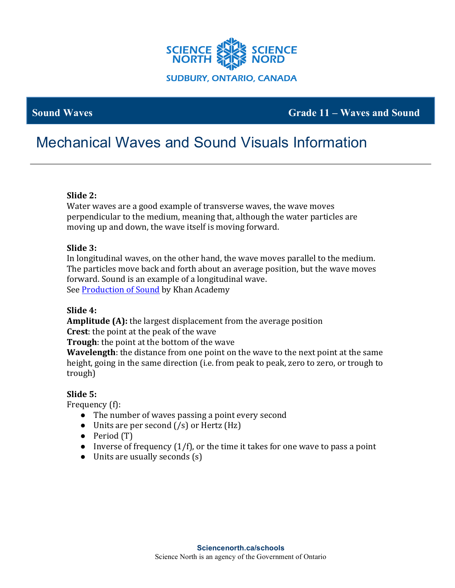

# **Sound Waves Grade 11 – Waves and Sound**

# Mechanical Waves and Sound Visuals Information

# **Slide 2:**

Water waves are a good example of transverse waves, the wave moves perpendicular to the medium, meaning that, although the water particles are moving up and down, the wave itself is moving forward.

#### **Slide 3:**

In longitudinal waves, on the other hand, the wave moves parallel to the medium. The particles move back and forth about an average position, but the wave moves forward. Sound is an example of a longitudinal wave. See Production of Sound by Khan Academy

#### **Slide 4:**

**Amplitude (A):** the largest displacement from the average position

**Crest:** the point at the peak of the wave

**Trough**: the point at the bottom of the wave

**Wavelength**: the distance from one point on the wave to the next point at the same height, going in the same direction (i.e. from peak to peak, zero to zero, or trough to trough)

# **Slide 5:**

Frequency (f):

- The number of waves passing a point every second
- Units are per second  $(\frac{s}{s})$  or Hertz (Hz)
- Period (T)
- Inverse of frequency  $(1/f)$ , or the time it takes for one wave to pass a point
- Units are usually seconds (s)